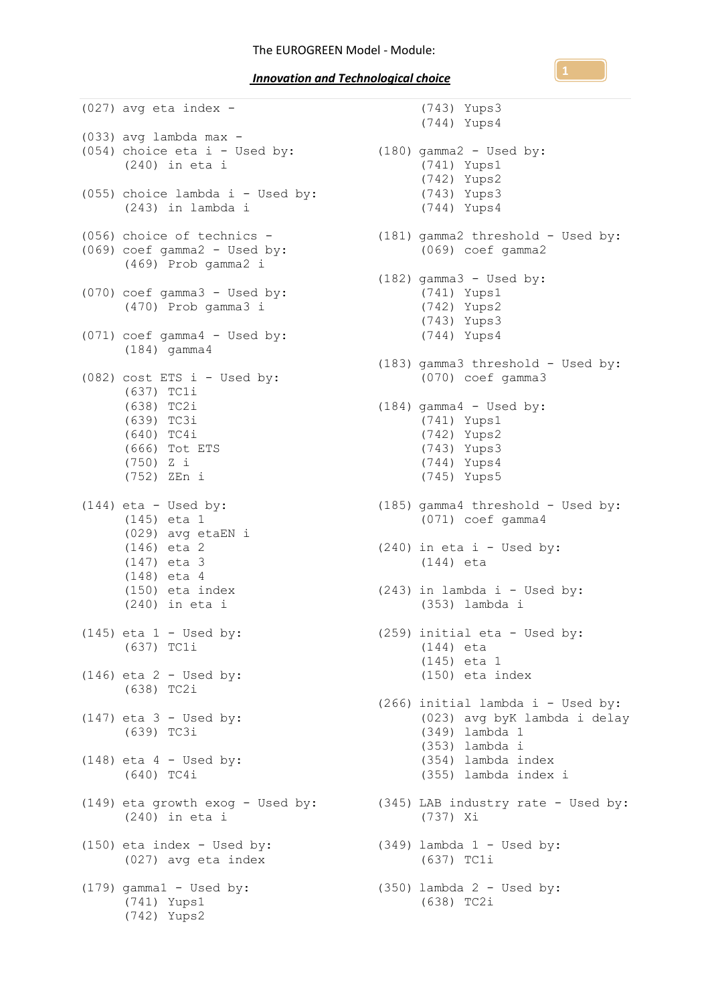*Innovation and Technological choice* 

(027) avg eta index - (033) avg lambda max - (054) choice eta i - Used by: (180) gamma2 - Used by: (240) in eta i (055) choice lambda  $i$  - Used by: (243) in lambda i (056) choice of technics - (069) coef gamma2 - Used by: (469) Prob gamma2 i (070) coef gamma3 - Used by: (470) Prob gamma3 i (071) coef gamma4 - Used by: (184) gamma4 (082) cost ETS  $i$  - Used by: (637) TC1i (638) TC2i (639) TC3i  $(640)$  TC4i (666) Tot ETS (750) Z i (752) ZEn i  $(144)$  eta - Used by: (145) eta 1 (029) avg etaEN i (146) eta 2 (147) eta 3 (148) eta 4 (150) eta index (240) in eta i  $(145)$  eta  $1 -$  Used by: (637) TC1i  $(146)$  eta 2 - Used by: (638) TC2i  $(147)$  eta 3 - Used by: (639) TC3i (148) eta  $4$  - Used by: (640) TC4i (240) in eta i (150) eta index - Used by: (027) avg eta index (179) gamma1 - Used by: (741) Yups1 (742) Yups2

(149) eta growth exog - Used by: (345) LAB industry rate - Used by: (743) Yups3 (744) Yups4 (741) Yups1 (742) Yups2 (743) Yups3 (744) Yups4 (181) gamma2 threshold - Used by: (069) coef gamma2 (182) gamma3 - Used by: (741) Yups1 (742) Yups2 (743) Yups3 (744) Yups4 (183) gamma3 threshold - Used by: (070) coef gamma3 (184) gamma4 - Used by: (741) Yups1 (742) Yups2 (743) Yups3 (744) Yups4 (745) Yups5 (185) gamma4 threshold - Used by: (071) coef gamma4  $(240)$  in eta i - Used by: (144) eta (243) in lambda i - Used by: (353) lambda i (259) initial eta - Used by: (144) eta (145) eta 1 (150) eta index (266) initial lambda i - Used by: (023) avg byK lambda i delay (349) lambda 1 (353) lambda i (354) lambda index (355) lambda index i (737) Xi  $(349)$  lambda  $1 -$  Used by: (637) TC1i (350) lambda 2 - Used by: (638) TC2i

**1**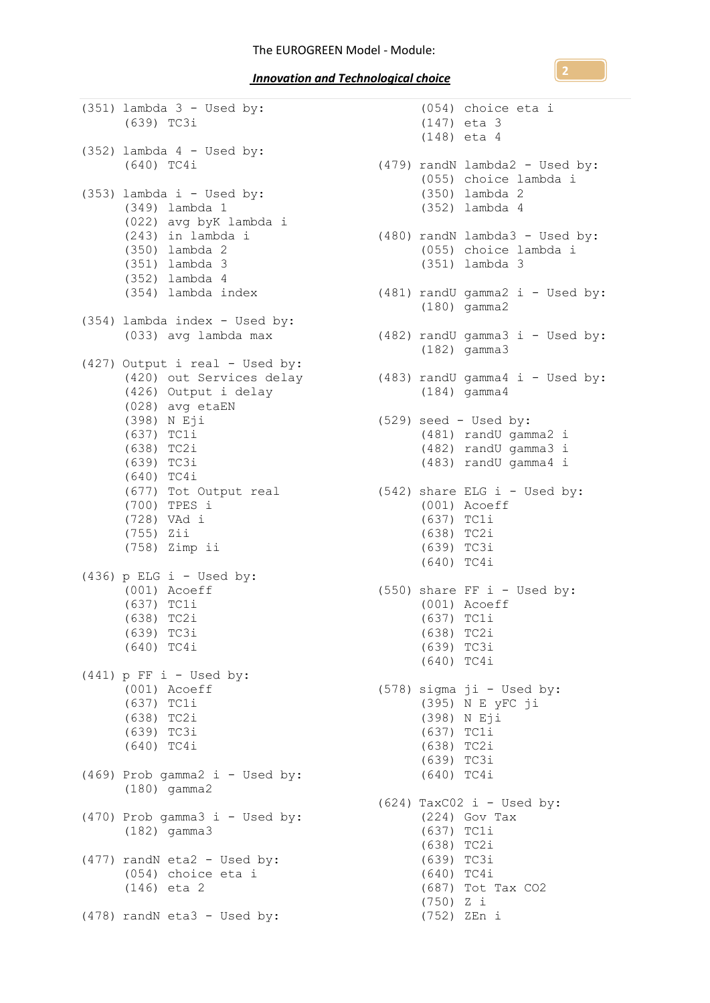(351) lambda 3 - Used by: (639) TC3i (352) lambda 4 - Used by: (640) TC4i (353) lambda i - Used by: (349) lambda 1 (022) avg byK lambda i (243) in lambda i (350) lambda 2 (351) lambda 3 (352) lambda 4 (354) lambda index (354) lambda index - Used by: (033) avg lambda max (427) Output i real - Used by: (426) Output i delay (028) avg etaEN (398) N Eji  $(637)$  TC1i (638) TC2i (639) TC3i (640) TC4i (677) Tot Output real (700) TPES i (728) VAd i (755) Zii (758) Zimp ii  $(436)$  p ELG i - Used by: (001) Acoeff (637) TC1i (638) TC2i (639) TC3i (640) TC4i  $(441)$  p FF i - Used by: (001) Acoeff (637) TC1i (638) TC2i (639) TC3i (640) TC4i  $(469)$  Prob gamma2 i - Used by: (180) gamma2  $(470)$  Prob gamma3 i - Used by: (182) gamma3 (477) randN eta2 - Used by: (054) choice eta i (146) eta 2 (478) randN eta3 - Used by:

(420) out Services delay (483) randU gamma4 i - Used by: (054) choice eta i (147) eta 3 (148) eta 4 (479) randN lambda2 - Used by: (055) choice lambda i (350) lambda 2 (352) lambda 4 (480) randN lambda3 - Used by: (055) choice lambda i (351) lambda 3 (481) randU gamma2 i - Used by: (180) gamma2 (482) randU gamma3 i - Used by: (182) gamma3 (184) gamma4 (529) seed - Used by: (481) randU gamma2 i (482) randU gamma3 i (483) randU gamma4 i  $(542)$  share ELG i - Used by: (001) Acoeff (637) TC1i (638) TC2i (639) TC3i (640) TC4i (550) share FF  $i$  - Used by: (001) Acoeff (637) TC1i (638) TC2i (639) TC3i (640) TC4i (578) sigma ji - Used by: (395) N E yFC ji (398) N Eji (637) TC1i (638) TC2i (639) TC3i (640) TC4i  $(624)$  TaxCO2 i - Used by: (224) Gov Tax (637) TC1i (638) TC2i (639) TC3i (640) TC4i (687) Tot Tax CO2 (750) Z i (752) ZEn i